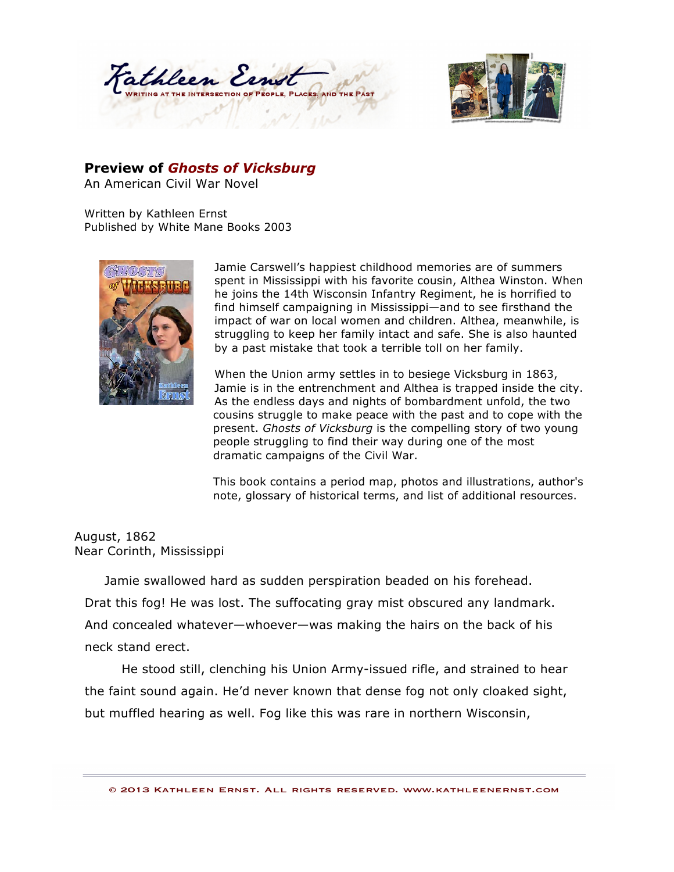



## **Preview of** *Ghosts of Vicksburg*

An American Civil War Novel

Written by Kathleen Ernst Published by White Mane Books 2003



Jamie Carswell's happiest childhood memories are of summers spent in Mississippi with his favorite cousin, Althea Winston. When he joins the 14th Wisconsin Infantry Regiment, he is horrified to find himself campaigning in Mississippi—and to see firsthand the impact of war on local women and children. Althea, meanwhile, is struggling to keep her family intact and safe. She is also haunted by a past mistake that took a terrible toll on her family.

When the Union army settles in to besiege Vicksburg in 1863, Jamie is in the entrenchment and Althea is trapped inside the city. As the endless days and nights of bombardment unfold, the two cousins struggle to make peace with the past and to cope with the present. *Ghosts of Vicksburg* is the compelling story of two young people struggling to find their way during one of the most dramatic campaigns of the Civil War.

This book contains a period map, photos and illustrations, author's note, glossary of historical terms, and list of additional resources.

## August, 1862 Near Corinth, Mississippi

Jamie swallowed hard as sudden perspiration beaded on his forehead. Drat this fog! He was lost. The suffocating gray mist obscured any landmark. And concealed whatever—whoever—was making the hairs on the back of his neck stand erect.

 He stood still, clenching his Union Army-issued rifle, and strained to hear the faint sound again. He'd never known that dense fog not only cloaked sight, but muffled hearing as well. Fog like this was rare in northern Wisconsin,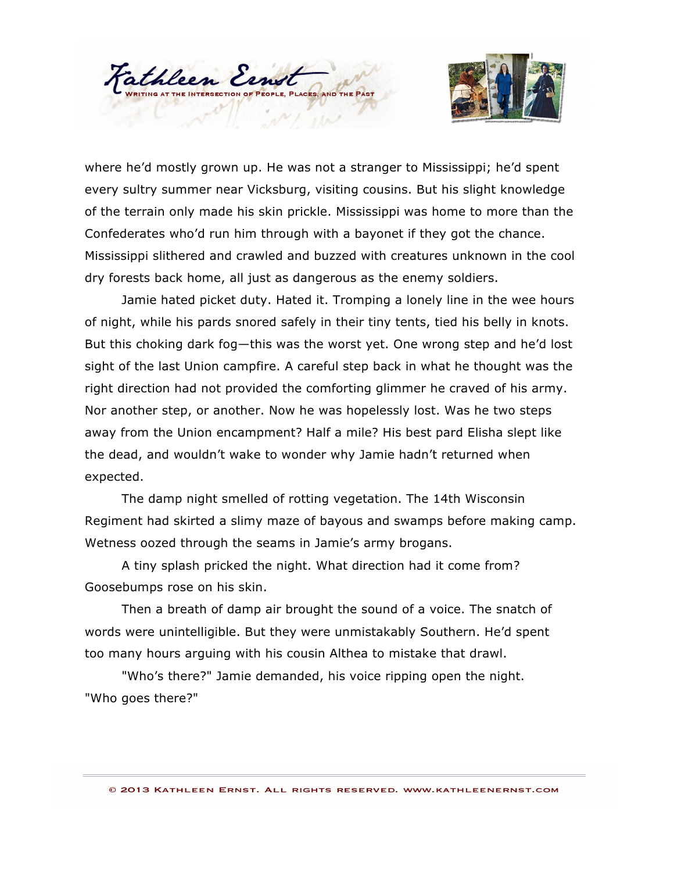



where he'd mostly grown up. He was not a stranger to Mississippi; he'd spent every sultry summer near Vicksburg, visiting cousins. But his slight knowledge of the terrain only made his skin prickle. Mississippi was home to more than the Confederates who'd run him through with a bayonet if they got the chance. Mississippi slithered and crawled and buzzed with creatures unknown in the cool dry forests back home, all just as dangerous as the enemy soldiers.

 Jamie hated picket duty. Hated it. Tromping a lonely line in the wee hours of night, while his pards snored safely in their tiny tents, tied his belly in knots. But this choking dark fog—this was the worst yet. One wrong step and he'd lost sight of the last Union campfire. A careful step back in what he thought was the right direction had not provided the comforting glimmer he craved of his army. Nor another step, or another. Now he was hopelessly lost. Was he two steps away from the Union encampment? Half a mile? His best pard Elisha slept like the dead, and wouldn't wake to wonder why Jamie hadn't returned when expected.

 The damp night smelled of rotting vegetation. The 14th Wisconsin Regiment had skirted a slimy maze of bayous and swamps before making camp. Wetness oozed through the seams in Jamie's army brogans.

 A tiny splash pricked the night. What direction had it come from? Goosebumps rose on his skin.

 Then a breath of damp air brought the sound of a voice. The snatch of words were unintelligible. But they were unmistakably Southern. He'd spent too many hours arguing with his cousin Althea to mistake that drawl.

 "Who's there?" Jamie demanded, his voice ripping open the night. "Who goes there?"